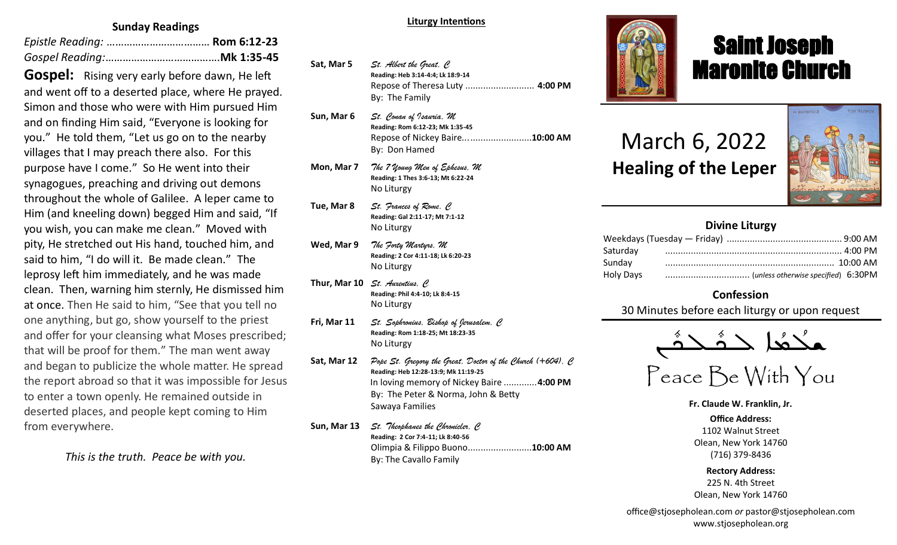# **Sunday Readings**

**Gospel:** Rising very early before dawn, He left and went off to a deserted place, where He prayed. Simon and those who were with Him pursued Him and on finding Him said, "Everyone is looking for you." He told them, "Let us go on to the nearby villages that I may preach there also. For this purpose have I come." So He went into their synagogues, preaching and driving out demons throughout the whole of Galilee. A leper came to Him (and kneeling down) begged Him and said, "If you wish, you can make me clean." Moved with pity, He stretched out His hand, touched him, and said to him, "I do will it. Be made clean." The leprosy left him immediately, and he was made clean. Then, warning him sternly, He dismissed him at once. Then He said to him, "See that you tell no one anything, but go, show yourself to the priest and offer for your cleansing what Moses prescribed; that will be proof for them." The man went away and began to publicize the whole matter. He spread the report abroad so that it was impossible for Jesus to enter a town openly. He remained outside in deserted places, and people kept coming to Him from everywhere.

*This is the truth. Peace be with you.*

#### **Liturgy Intentions**

- **Sat, Mar 5** *St. Albert the Great, C* **Reading: Heb 3:14-4:4; Lk 18:9-14** Repose of Theresa Luty ........................... **4:00 PM** By: The Family
- **Sun, Mar 6** *St. Conan of Isauria, M* **Reading: Rom 6:12-23; Mk 1:35-45** Repose of Nickey Baire...........................**10:00 AM** By: Don Hamed
- **Mon, Mar 7** *The 7 Young Men of Ephesus, M* **Reading: 1 Thes 3:6-13; Mt 6:22-24** No Liturgy
- **Tue, Mar 8** *St. Frances of Rome, C*  **Reading: Gal 2:11-17; Mt 7:1-12** No Liturgy
- **Wed, Mar 9** *The Forty Martyrs, M* **Reading: 2 Cor 4:11-18; Lk 6:20-23** No Liturgy
- **Thur, Mar 10** *St. Auxentius, C* **Reading: Phil 4:4-10; Lk 8:4-15** No Liturgy
- **Fri, Mar 11** *St. Sophronius, Bishop of Jerusalem, C* **Reading: Rom 1:18-25; Mt 18:23-35** No Liturgy
- **Sat, Mar 12** *Pope St. Gregory the Great, Doctor of the Church (+604), C* **Reading: Heb 12:28-13:9; Mk 11:19-25** In loving memory of Nickey Baire .............**4:00 PM** By: The Peter & Norma, John & Betty Sawaya Families
- **Sun, Mar 13** *St. Theophanes the Chronicler, C* **Reading: 2 Cor 7:4-11; Lk 8:40-56** Olimpia & Filippo Buono.........................**10:00 AM** By: The Cavallo Family



# Saint Joseph Maronite Church

# March 6, 2022 **Healing of the Leper**

ī



# **Divine Liturgy**

| Saturday  |  |
|-----------|--|
| Sunday    |  |
| Holy Days |  |

# **Confession**

30 Minutes before each liturgy or upon request

مكْتُعا حَشَّحْشَى  $\frac{1}{2}$  $\frac{1}{2}$ —<br>ص  $\frac{1}{\sqrt{2}}$ 

Peace Be With You

**Fr. Claude W. Franklin, Jr.**

**Office Address:** 1102 Walnut Street Olean, New York 14760 (716) 379-8436

**Rectory Address:** 225 N. 4th Street Olean, New York 14760

office@stjosepholean.com *or* pastor@stjosepholean.com www.stjosepholean.org